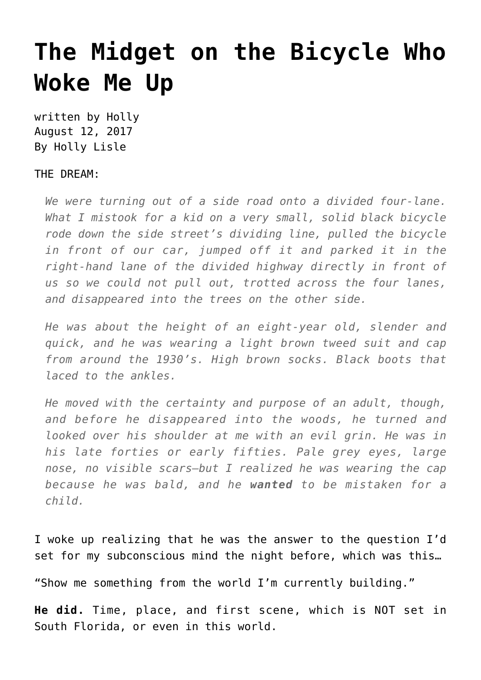## **[The Midget on the Bicycle Who](https://hollylisle.com/the-midget-on-the-bicycle-who-woke-me-up/) [Woke Me Up](https://hollylisle.com/the-midget-on-the-bicycle-who-woke-me-up/)**

written by Holly August 12, 2017 [By Holly Lisle](https://hollylisle.com)

## THE DREAM:

*We were turning out of a side road onto a divided four-lane. What I mistook for a kid on a very small, solid black bicycle rode down the side street's dividing line, pulled the bicycle in front of our car, jumped off it and parked it in the right-hand lane of the divided highway directly in front of us so we could not pull out, trotted across the four lanes, and disappeared into the trees on the other side.*

*He was about the height of an eight-year old, slender and quick, and he was wearing a light brown tweed suit and cap from around the 1930's. High brown socks. Black boots that laced to the ankles.*

*He moved with the certainty and purpose of an adult, though, and before he disappeared into the woods, he turned and looked over his shoulder at me with an evil grin. He was in his late forties or early fifties. Pale grey eyes, large nose, no visible scars—but I realized he was wearing the cap because he was bald, and he wanted to be mistaken for a child.*

I woke up realizing that he was the answer to the question I'd set for my subconscious mind the night before, which was this…

"Show me something from the world I'm currently building."

**He did.** Time, place, and first scene, which is NOT set in South Florida, or even in this world.